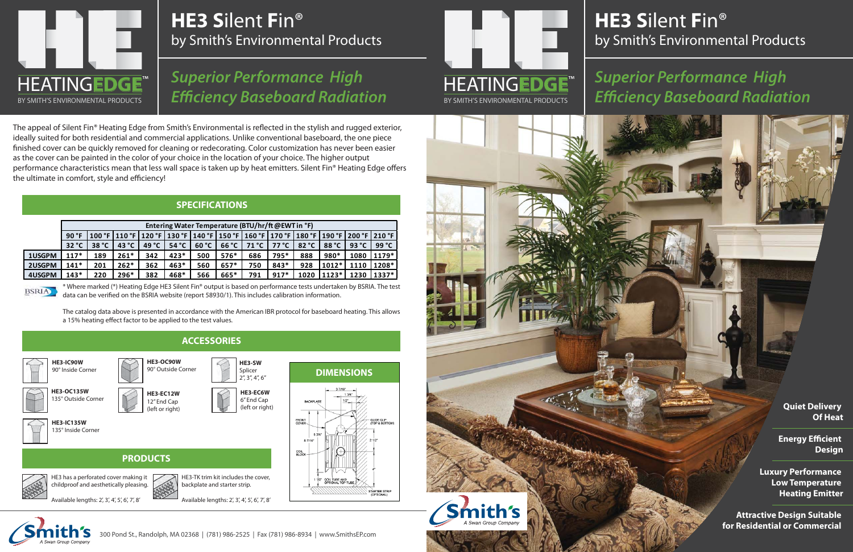### **HE3 S**ilent **F**in® by Smith's Environmental Products

# **HE3 S**ilent **F**in® by Smith's Environmental Products

## *Superior Performance High Efficiency Baseboard Radiation*

### **SPECIFICATIONS**

\* Where marked (\*) Heating Edge HE3 Silent Fin® output is based on performance tests undertaken by BSRIA. The test data can be verified on the BSRIA website (report 58930/1). This includes calibration information.

The catalog data above is presented in accordance with the American IBR protocol for baseboard heating. This allows a 15% heating effect factor to be applied to the test values.





### *Superior Performance High Efficiency Baseboard Radiation* HEATING**EDGE**

|        | Entering Water Temperature (BTU/hr/ft @EWT in °F) |       |                 |                 |        |       |        |       |        |       |                                                                                                           |       |         |
|--------|---------------------------------------------------|-------|-----------------|-----------------|--------|-------|--------|-------|--------|-------|-----------------------------------------------------------------------------------------------------------|-------|---------|
|        | 90 °F                                             |       |                 |                 |        |       |        |       |        |       | 100 °F   110 °F   120 °F   130 °F   140 °F   150 °F   160 °F   170 °F   180 °F   190 °F   200 °F   210 °F |       |         |
|        | 32 °C                                             | 38 °C | 43 $^{\circ}$ C | 49 $^{\circ}$ C | 54 °C  | 60 °C | 66 °C  | 71 °C | 77 °C  | 82 °C | 88 °C                                                                                                     | 93 °C | 99 °C   |
| 1USGPM | $117*$                                            | 189   | $261*$          | 342             | $423*$ | 500   | $576*$ | 686   | 795*   | 888   | 980*                                                                                                      | 1080  | $1179*$ |
| 2USGPM | $141*$                                            | 201   | $262*$          | 362             | $463*$ | 560   | $657*$ | 750   | $843*$ | 928   | $1012*$                                                                                                   | 1110  | 1208*   |
| 4USGPM | $143*$                                            | 220   | $296*$          | 382             | 468*   | 566   | 665*   | 791   | $917*$ | 1020  | $1123*$                                                                                                   | 1230  | $1337*$ |

**BSRIA** 

**Quiet Delivery Of Heat**

**Energy Efficient Design**

**Luxury Performance Low Temperature Heating Emitter**

**Attractive Design Suitable for Residential or Commercial** 

The appeal of Silent Fin® Heating Edge from Smith's Environmental is reflected in the stylish and rugged exterior, ideally suited for both residential and commercial applications. Unlike conventional baseboard, the one piece finished cover can be quickly removed for cleaning or redecorating. Color customization has never been easier as the cover can be painted in the color of your choice in the location of your choice. The higher output performance characteristics mean that less wall space is taken up by heat emitters. Silent Fin® Heating Edge offers the ultimate in comfort, style and efficiency!

# HEATING**EDGE** BY SMITH'S ENVIRONMENTAL PRODUCTS™